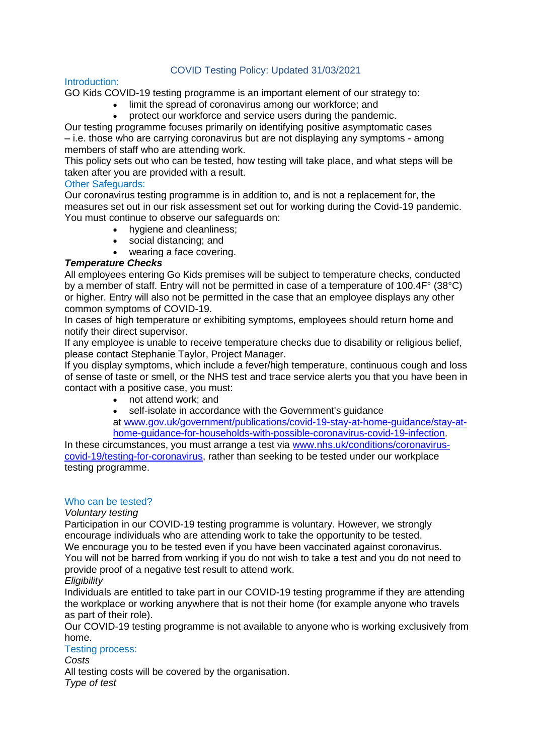# COVID Testing Policy: Updated 31/03/2021

### Introduction:

GO Kids COVID-19 testing programme is an important element of our strategy to:

- limit the spread of coronavirus among our workforce; and
- protect our workforce and service users during the pandemic.

Our testing programme focuses primarily on identifying positive asymptomatic cases – i.e. those who are carrying coronavirus but are not displaying any symptoms - among members of staff who are attending work.

This policy sets out who can be tested, how testing will take place, and what steps will be taken after you are provided with a result.

# Other Safeguards:

Our coronavirus testing programme is in addition to, and is not a replacement for, the measures set out in our risk assessment set out for working during the Covid-19 pandemic. You must continue to observe our safeguards on:

- hygiene and cleanliness;
- social distancing; and
- wearing a face covering.

# *Temperature Checks*

All employees entering Go Kids premises will be subject to temperature checks, conducted by a member of staff. Entry will not be permitted in case of a temperature of 100.4F° (38°C) or higher. Entry will also not be permitted in the case that an employee displays any other common symptoms of COVID-19.

In cases of high temperature or exhibiting symptoms, employees should return home and notify their direct supervisor.

If any employee is unable to receive temperature checks due to disability or religious belief, please contact Stephanie Taylor, Project Manager.

If you display symptoms, which include a fever/high temperature, continuous cough and loss of sense of taste or smell, or the NHS test and trace service alerts you that you have been in contact with a positive case, you must:

- not attend work: and
- self-isolate in accordance with the Government's quidance

at [www.gov.uk/government/publications/covid-19-stay-at-home-guidance/stay-at](http://www.gov.uk/government/publications/covid-19-stay-at-home-guidance/stay-at-home-guidance-for-households-with-possible-coronavirus-covid-19-infection)[home-guidance-for-households-with-possible-coronavirus-covid-19-infection.](http://www.gov.uk/government/publications/covid-19-stay-at-home-guidance/stay-at-home-guidance-for-households-with-possible-coronavirus-covid-19-infection)

In these circumstances, you must arrange a test via [www.nhs.uk/conditions/coronavirus](https://www.nhs.uk/conditions/coronavirus-covid-19/testing-for-coronavirus/)[covid-19/testing-for-coronavirus,](https://www.nhs.uk/conditions/coronavirus-covid-19/testing-for-coronavirus/) rather than seeking to be tested under our workplace testing programme.

#### Who can be tested?

#### *Voluntary testing*

Participation in our COVID-19 testing programme is voluntary. However, we strongly encourage individuals who are attending work to take the opportunity to be tested. We encourage you to be tested even if you have been vaccinated against coronavirus.

You will not be barred from working if you do not wish to take a test and you do not need to provide proof of a negative test result to attend work.

*Eligibility*

Individuals are entitled to take part in our COVID-19 testing programme if they are attending the workplace or working anywhere that is not their home (for example anyone who travels as part of their role).

Our COVID-19 testing programme is not available to anyone who is working exclusively from home.

#### Testing process:

*Costs*

All testing costs will be covered by the organisation. *Type of test*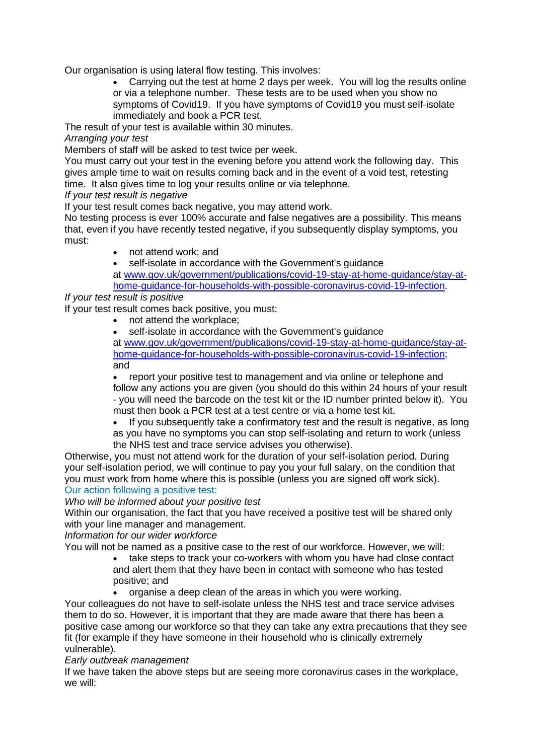Our organisation is using lateral flow testing. This involves:

• Carrying out the test at home 2 days per week. You will log the results online or via a telephone number. These tests are to be used when you show no symptoms of Covid19. If you have symptoms of Covid19 you must self-isolate immediately and book a PCR test.

The result of your test is available within 30 minutes.

*Arranging your test*

Members of staff will be asked to test twice per week.

You must carry out your test in the evening before you attend work the following day. This gives ample time to wait on results coming back and in the event of a void test, retesting time. It also gives time to log your results online or via telephone.

*If your test result is negative*

If your test result comes back negative, you may attend work.

No testing process is ever 100% accurate and false negatives are a possibility. This means that, even if you have recently tested negative, if you subsequently display symptoms, you must:

• not attend work: and

self-isolate in accordance with the Government's guidance

at [www.gov.uk/government/publications/covid-19-stay-at-home-guidance/stay-at](http://www.gov.uk/government/publications/covid-19-stay-at-home-guidance/stay-at-home-guidance-for-households-with-possible-coronavirus-covid-19-infection)[home-guidance-for-households-with-possible-coronavirus-covid-19-infection.](http://www.gov.uk/government/publications/covid-19-stay-at-home-guidance/stay-at-home-guidance-for-households-with-possible-coronavirus-covid-19-infection)

*If your test result is positive*

If your test result comes back positive, you must:

- not attend the workplace;
- self-isolate in accordance with the Government's quidance

at [www.gov.uk/government/publications/covid-19-stay-at-home-guidance/stay-at](http://www.gov.uk/government/publications/covid-19-stay-at-home-guidance/stay-at-home-guidance-for-households-with-possible-coronavirus-covid-19-infection)[home-guidance-for-households-with-possible-coronavirus-covid-19-infection;](http://www.gov.uk/government/publications/covid-19-stay-at-home-guidance/stay-at-home-guidance-for-households-with-possible-coronavirus-covid-19-infection) and

• report your positive test to management and via online or telephone and follow any actions you are given (you should do this within 24 hours of your result - you will need the barcode on the test kit or the ID number printed below it). You must then book a PCR test at a test centre or via a home test kit.

• If you subsequently take a confirmatory test and the result is negative, as long

as you have no symptoms you can stop self-isolating and return to work (unless the NHS test and trace service advises you otherwise).

Otherwise, you must not attend work for the duration of your self-isolation period. During your self-isolation period, we will continue to pay you your full salary, on the condition that you must work from home where this is possible (unless you are signed off work sick). Our action following a positive test:

#### *Who will be informed about your positive test*

Within our organisation, the fact that you have received a positive test will be shared only with your line manager and management.

*Information for our wider workforce*

You will not be named as a positive case to the rest of our workforce. However, we will:

- take steps to track your co-workers with whom you have had close contact and alert them that they have been in contact with someone who has tested positive; and
- organise a deep clean of the areas in which you were working.

Your colleagues do not have to self-isolate unless the NHS test and trace service advises them to do so. However, it is important that they are made aware that there has been a positive case among our workforce so that they can take any extra precautions that they see fit (for example if they have someone in their household who is clinically extremely vulnerable).

#### *Early outbreak management*

If we have taken the above steps but are seeing more coronavirus cases in the workplace, we will: